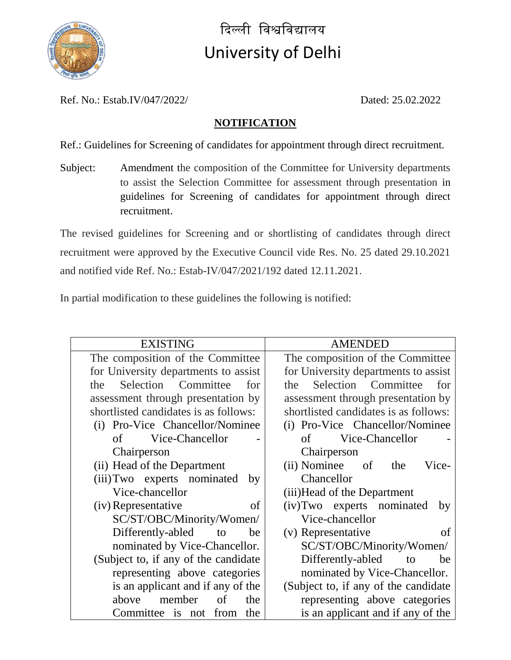

दिल्ली विश्वविद्यालय University of Delhi

Ref. No.: Estab.IV/047/2022/ Dated: 25.02.2022

## **NOTIFICATION**

Ref.: Guidelines for Screening of candidates for appointment through direct recruitment.

Subject: Amendment the composition of the Committee for University departments to assist the Selection Committee for assessment through presentation in guidelines for Screening of candidates for appointment through direct recruitment.

The revised guidelines for Screening and or shortlisting of candidates through direct recruitment were approved by the Executive Council vide Res. No. 25 dated 29.10.2021 and notified vide Ref. No.: Estab-IV/047/2021/192 dated 12.11.2021.

In partial modification to these guidelines the following is notified:

| <b>EXISTING</b>                       | <b>AMENDED</b>                        |
|---------------------------------------|---------------------------------------|
| The composition of the Committee      | The composition of the Committee      |
| for University departments to assist  | for University departments to assist  |
| Selection Committee<br>the<br>for     | Selection Committee<br>the<br>for     |
| assessment through presentation by    | assessment through presentation by    |
| shortlisted candidates is as follows: | shortlisted candidates is as follows: |
| (i) Pro-Vice Chancellor/Nominee       | (i) Pro-Vice Chancellor/Nominee       |
| Vice-Chancellor<br>of                 | Vice-Chancellor<br>of                 |
| Chairperson                           | Chairperson                           |
| (ii) Head of the Department           | (ii) Nominee of<br>Vice-<br>the       |
| (iii) Two experts nominated<br>by     | Chancellor                            |
| Vice-chancellor                       | (iii) Head of the Department          |
| (iv) Representative<br>of             | (iv) Two experts nominated<br>by      |
| SC/ST/OBC/Minority/Women/             | Vice-chancellor                       |
| Differently-abled<br>to<br>be         | (v) Representative<br>of              |
| nominated by Vice-Chancellor.         | SC/ST/OBC/Minority/Women/             |
| (Subject to, if any of the candidate) | Differently-abled<br>be<br>to         |
| representing above categories         | nominated by Vice-Chancellor.         |
| is an applicant and if any of the     | (Subject to, if any of the candidate) |
| above<br>member<br>the<br>of          | representing above categories         |
| Committee is not<br>from<br>the       | is an applicant and if any of the     |